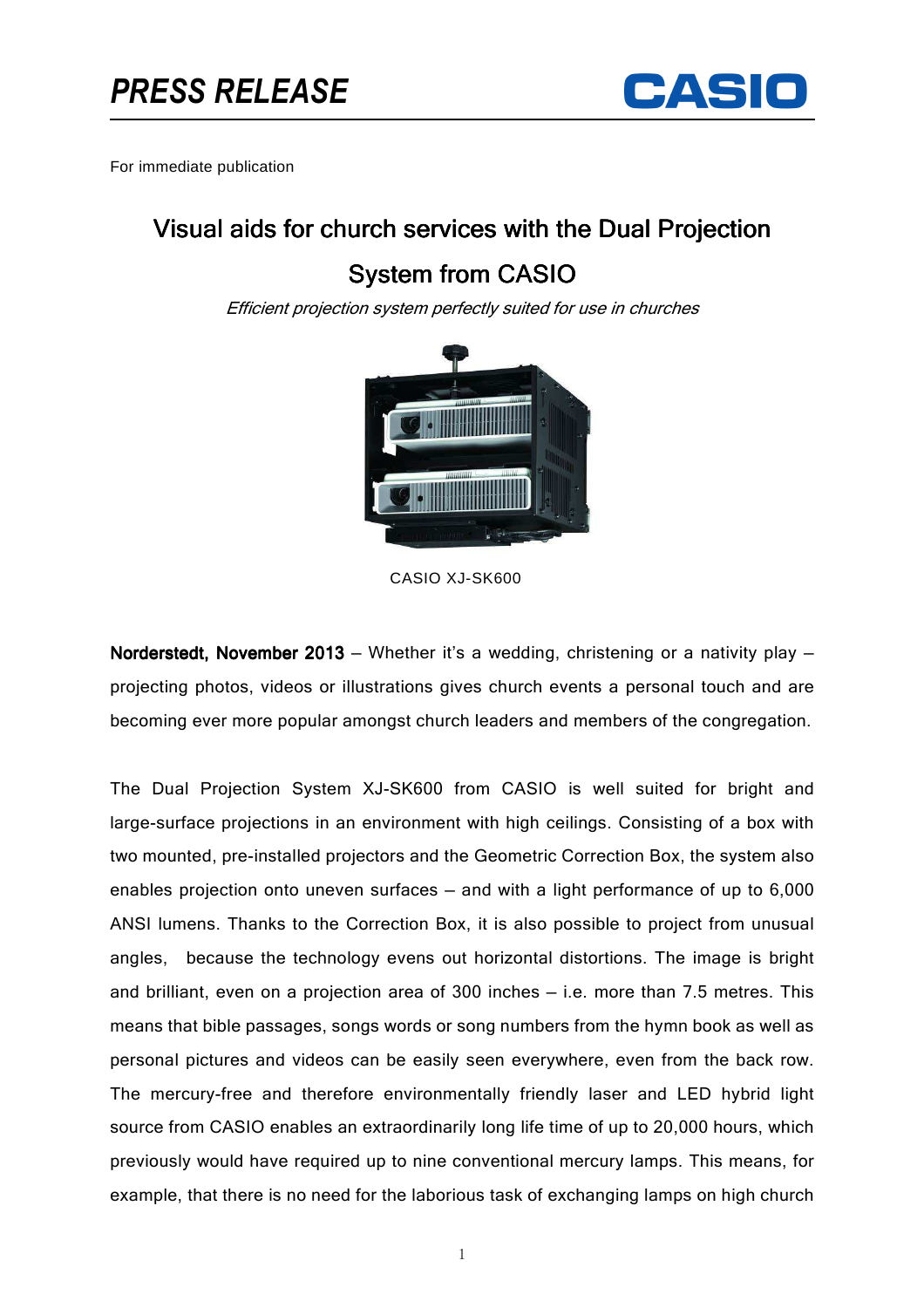

For immediate publication

## Visual aids for church services with the Dual Projection

## **System from CASIO**

Efficient projection system perfectly suited for use in churches



CASIO XJ-SK600

Norderstedt, November 2013 – Whether it's a wedding, christening or a nativity play – projecting photos, videos or illustrations gives church events a personal touch and are becoming ever more popular amongst church leaders and members of the congregation.

The Dual Projection System XJ-SK600 from CASIO is well suited for bright and large-surface projections in an environment with high ceilings. Consisting of a box with two mounted, pre-installed projectors and the Geometric Correction Box, the system also enables projection onto uneven surfaces — and with a light performance of up to 6,000 ANSI lumens. Thanks to the Correction Box, it is also possible to project from unusual angles, because the technology evens out horizontal distortions. The image is bright and brilliant, even on a projection area of 300 inches — i.e. more than 7.5 metres. This means that bible passages, songs words or song numbers from the hymn book as well as personal pictures and videos can be easily seen everywhere, even from the back row. The mercury-free and therefore environmentally friendly laser and LED hybrid light source from CASIO enables an extraordinarily long life time of up to 20,000 hours, which previously would have required up to nine conventional mercury lamps. This means, for example, that there is no need for the laborious task of exchanging lamps on high church